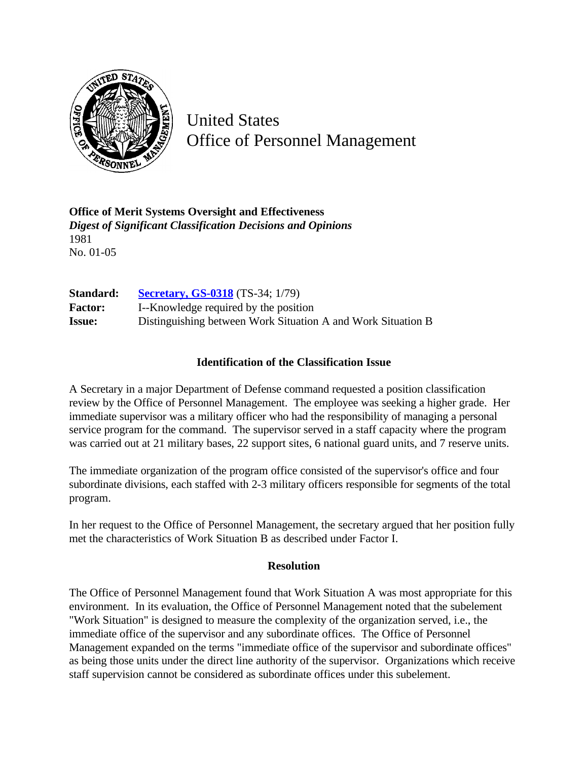

United States Office of Personnel Management

**Office of Merit Systems Oversight and Effectiveness** *Digest of Significant Classification Decisions and Opinions* 1981 No. 01-05

**Standard: [Secretary, GS-0318](http://www.opm.gov/hr/fedclass/gs0318.pdf)** (TS-34; 1/79) **Factor:** I--Knowledge required by the position **Issue:** Distinguishing between Work Situation A and Work Situation B

## **Identification of the Classification Issue**

A Secretary in a major Department of Defense command requested a position classification review by the Office of Personnel Management. The employee was seeking a higher grade. Her immediate supervisor was a military officer who had the responsibility of managing a personal service program for the command. The supervisor served in a staff capacity where the program was carried out at 21 military bases, 22 support sites, 6 national guard units, and 7 reserve units.

The immediate organization of the program office consisted of the supervisor's office and four subordinate divisions, each staffed with 2-3 military officers responsible for segments of the total program.

In her request to the Office of Personnel Management, the secretary argued that her position fully met the characteristics of Work Situation B as described under Factor I.

## **Resolution**

The Office of Personnel Management found that Work Situation A was most appropriate for this environment. In its evaluation, the Office of Personnel Management noted that the subelement "Work Situation" is designed to measure the complexity of the organization served, i.e., the immediate office of the supervisor and any subordinate offices. The Office of Personnel Management expanded on the terms "immediate office of the supervisor and subordinate offices" as being those units under the direct line authority of the supervisor. Organizations which receive staff supervision cannot be considered as subordinate offices under this subelement.